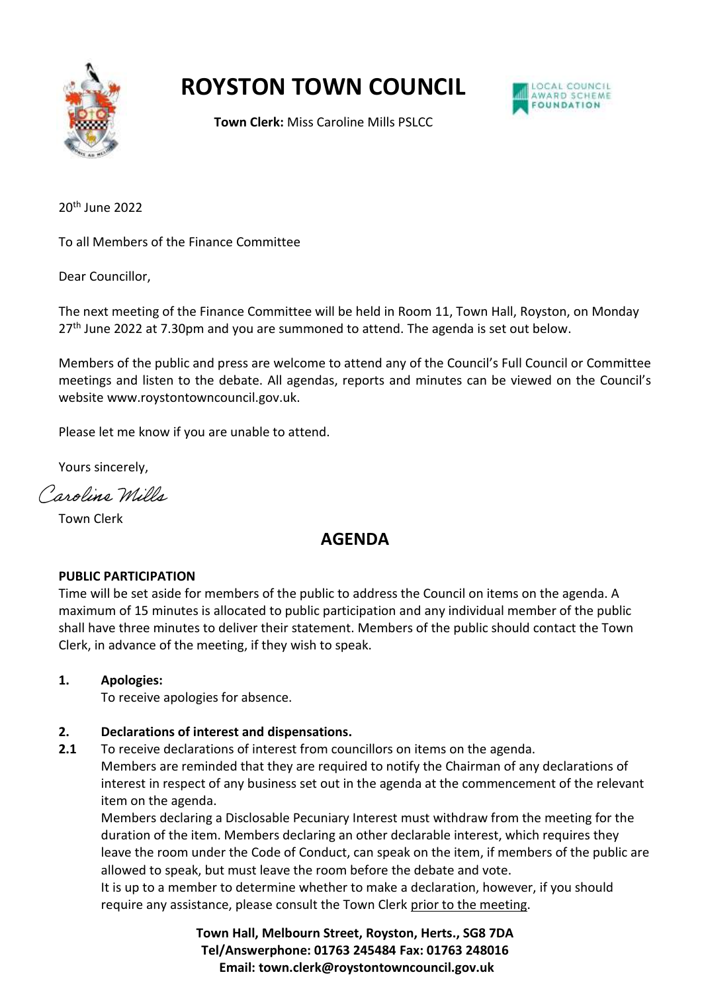

## **ROYSTON TOWN COUNCIL**



**Town Clerk:** Miss Caroline Mills PSLCC

20th June 2022

To all Members of the Finance Committee

Dear Councillor,

The next meeting of the Finance Committee will be held in Room 11, Town Hall, Royston, on Monday 27th June 2022 at 7.30pm and you are summoned to attend. The agenda is set out below.

Members of the public and press are welcome to attend any of the Council's Full Council or Committee meetings and listen to the debate. All agendas, reports and minutes can be viewed on the Council's website www.roystontowncouncil.gov.uk.

Please let me know if you are unable to attend.

Yours sincerely,

Caroline Wills

Town Clerk

### **AGENDA**

### **PUBLIC PARTICIPATION**

Time will be set aside for members of the public to address the Council on items on the agenda. A maximum of 15 minutes is allocated to public participation and any individual member of the public shall have three minutes to deliver their statement. Members of the public should contact the Town Clerk, in advance of the meeting, if they wish to speak.

### **1. Apologies:**

To receive apologies for absence.

### **2. Declarations of interest and dispensations.**

**2.1** To receive declarations of interest from councillors on items on the agenda.

Members are reminded that they are required to notify the Chairman of any declarations of interest in respect of any business set out in the agenda at the commencement of the relevant item on the agenda.

Members declaring a Disclosable Pecuniary Interest must withdraw from the meeting for the duration of the item. Members declaring an other declarable interest, which requires they leave the room under the Code of Conduct, can speak on the item, if members of the public are allowed to speak, but must leave the room before the debate and vote.

It is up to a member to determine whether to make a declaration, however, if you should require any assistance, please consult the Town Clerk prior to the meeting.

> **Town Hall, Melbourn Street, Royston, Herts., SG8 7DA Tel/Answerphone: 01763 245484 Fax: 01763 248016 Email: town.clerk@roystontowncouncil.gov.uk**